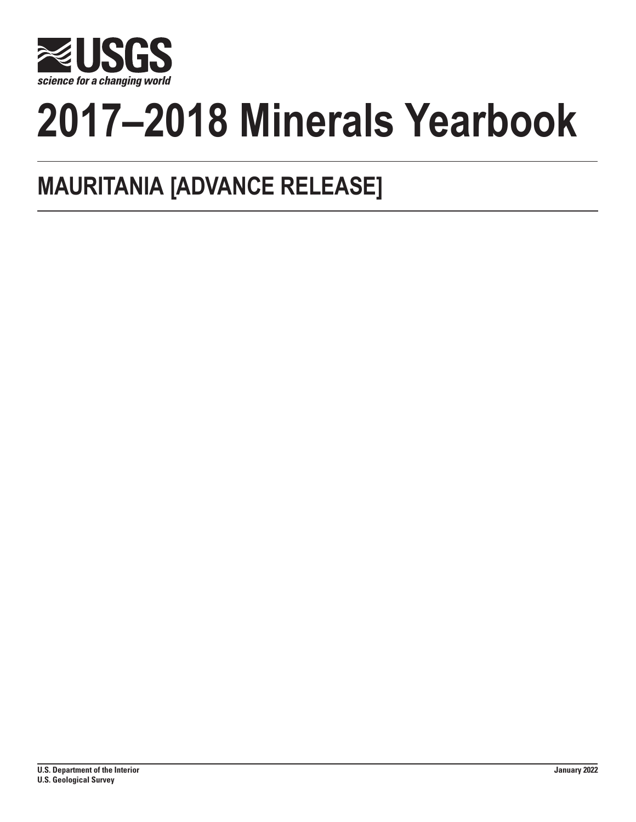

# **2017–2018 Minerals Yearbook**

## **MAURITANIA [ADVANCE RELEASE]**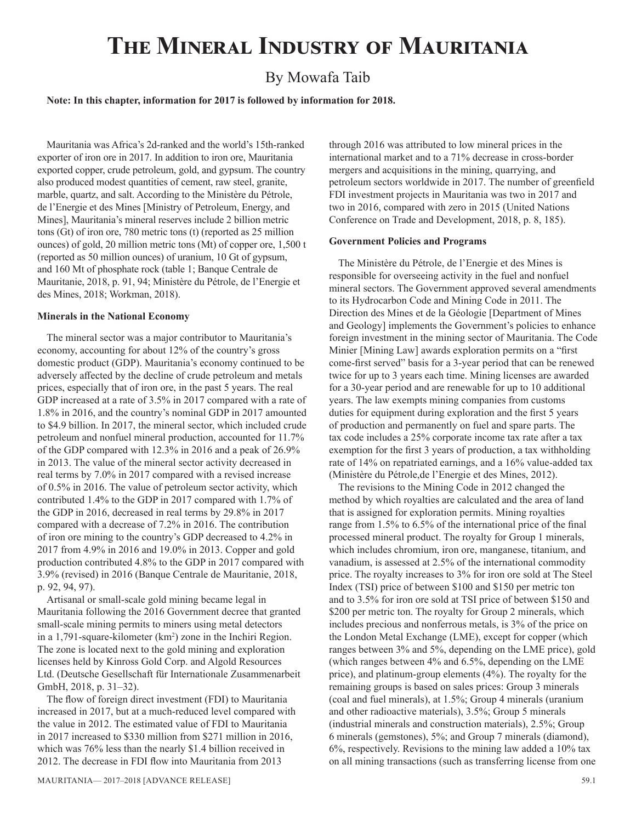### **The Mineral Industry of Mauritania**

#### By Mowafa Taib

#### **Note: In this chapter, information for 2017 is followed by information for 2018.**

Mauritania was Africa's 2d-ranked and the world's 15th-ranked exporter of iron ore in 2017. In addition to iron ore, Mauritania exported copper, crude petroleum, gold, and gypsum. The country also produced modest quantities of cement, raw steel, granite, marble, quartz, and salt. According to the Ministère du Pétrole, de l'Energie et des Mines [Ministry of Petroleum, Energy, and Mines], Mauritania's mineral reserves include 2 billion metric tons (Gt) of iron ore, 780 metric tons (t) (reported as 25 million ounces) of gold, 20 million metric tons (Mt) of copper ore, 1,500 t (reported as 50 million ounces) of uranium, 10 Gt of gypsum, and 160 Mt of phosphate rock (table 1; Banque Centrale de Mauritanie, 2018, p. 91, 94; Ministère du Pétrole, de l'Energie et des Mines, 2018; Workman, 2018).

#### **Minerals in the National Economy**

The mineral sector was a major contributor to Mauritania's economy, accounting for about 12% of the country's gross domestic product (GDP). Mauritania's economy continued to be adversely affected by the decline of crude petroleum and metals prices, especially that of iron ore, in the past 5 years. The real GDP increased at a rate of 3.5% in 2017 compared with a rate of 1.8% in 2016, and the country's nominal GDP in 2017 amounted to \$4.9 billion. In 2017, the mineral sector, which included crude petroleum and nonfuel mineral production, accounted for 11.7% of the GDP compared with 12.3% in 2016 and a peak of 26.9% in 2013. The value of the mineral sector activity decreased in real terms by 7.0% in 2017 compared with a revised increase of 0.5% in 2016. The value of petroleum sector activity, which contributed 1.4% to the GDP in 2017 compared with 1.7% of the GDP in 2016, decreased in real terms by 29.8% in 2017 compared with a decrease of 7.2% in 2016. The contribution of iron ore mining to the country's GDP decreased to 4.2% in 2017 from 4.9% in 2016 and 19.0% in 2013. Copper and gold production contributed 4.8% to the GDP in 2017 compared with 3.9% (revised) in 2016 (Banque Centrale de Mauritanie, 2018, p. 92, 94, 97).

Artisanal or small-scale gold mining became legal in Mauritania following the 2016 Government decree that granted small-scale mining permits to miners using metal detectors in a 1,791-square-kilometer (km<sup>2</sup>) zone in the Inchiri Region. The zone is located next to the gold mining and exploration licenses held by Kinross Gold Corp. and Algold Resources Ltd. (Deutsche Gesellschaft für Internationale Zusammenarbeit GmbH, 2018, p. 31–32).

The flow of foreign direct investment (FDI) to Mauritania increased in 2017, but at a much-reduced level compared with the value in 2012. The estimated value of FDI to Mauritania in 2017 increased to \$330 million from \$271 million in 2016, which was 76% less than the nearly \$1.4 billion received in 2012. The decrease in FDI flow into Mauritania from 2013

through 2016 was attributed to low mineral prices in the international market and to a 71% decrease in cross-border mergers and acquisitions in the mining, quarrying, and petroleum sectors worldwide in 2017. The number of greenfield FDI investment projects in Mauritania was two in 2017 and two in 2016, compared with zero in 2015 (United Nations Conference on Trade and Development, 2018, p. 8, 185).

#### **Government Policies and Programs**

The Ministère du Pétrole, de l'Energie et des Mines is responsible for overseeing activity in the fuel and nonfuel mineral sectors. The Government approved several amendments to its Hydrocarbon Code and Mining Code in 2011. The Direction des Mines et de la Géologie [Department of Mines and Geology] implements the Government's policies to enhance foreign investment in the mining sector of Mauritania. The Code Minier [Mining Law] awards exploration permits on a "first come-first served" basis for a 3-year period that can be renewed twice for up to 3 years each time. Mining licenses are awarded for a 30-year period and are renewable for up to 10 additional years. The law exempts mining companies from customs duties for equipment during exploration and the first 5 years of production and permanently on fuel and spare parts. The tax code includes a 25% corporate income tax rate after a tax exemption for the first 3 years of production, a tax withholding rate of 14% on repatriated earnings, and a 16% value-added tax (Ministère du Pétrole,de l'Energie et des Mines, 2012).

The revisions to the Mining Code in 2012 changed the method by which royalties are calculated and the area of land that is assigned for exploration permits. Mining royalties range from 1.5% to 6.5% of the international price of the final processed mineral product. The royalty for Group 1 minerals, which includes chromium, iron ore, manganese, titanium, and vanadium, is assessed at 2.5% of the international commodity price. The royalty increases to 3% for iron ore sold at The Steel Index (TSI) price of between \$100 and \$150 per metric ton and to 3.5% for iron ore sold at TSI price of between \$150 and \$200 per metric ton. The royalty for Group 2 minerals, which includes precious and nonferrous metals, is 3% of the price on the London Metal Exchange (LME), except for copper (which ranges between 3% and 5%, depending on the LME price), gold (which ranges between 4% and 6.5%, depending on the LME price), and platinum-group elements (4%). The royalty for the remaining groups is based on sales prices: Group 3 minerals (coal and fuel minerals), at 1.5%; Group 4 minerals (uranium and other radioactive materials), 3.5%; Group 5 minerals (industrial minerals and construction materials), 2.5%; Group 6 minerals (gemstones), 5%; and Group 7 minerals (diamond), 6%, respectively. Revisions to the mining law added a 10% tax on all mining transactions (such as transferring license from one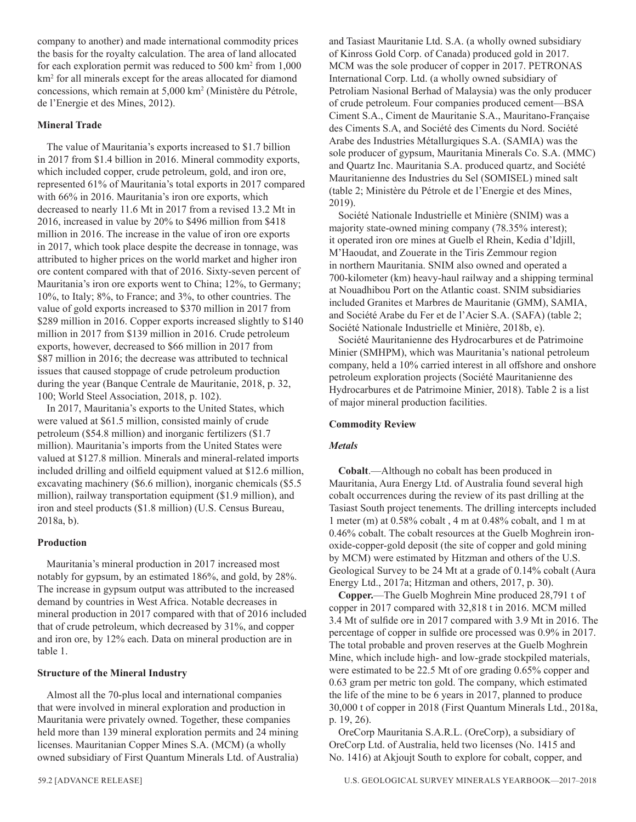company to another) and made international commodity prices the basis for the royalty calculation. The area of land allocated for each exploration permit was reduced to 500 km2 from 1,000 km2 for all minerals except for the areas allocated for diamond concessions, which remain at 5,000 km2 (Ministère du Pétrole, de l'Energie et des Mines, 2012).

#### **Mineral Trade**

The value of Mauritania's exports increased to \$1.7 billion in 2017 from \$1.4 billion in 2016. Mineral commodity exports, which included copper, crude petroleum, gold, and iron ore, represented 61% of Mauritania's total exports in 2017 compared with 66% in 2016. Mauritania's iron ore exports, which decreased to nearly 11.6 Mt in 2017 from a revised 13.2 Mt in 2016, increased in value by 20% to \$496 million from \$418 million in 2016. The increase in the value of iron ore exports in 2017, which took place despite the decrease in tonnage, was attributed to higher prices on the world market and higher iron ore content compared with that of 2016. Sixty-seven percent of Mauritania's iron ore exports went to China; 12%, to Germany; 10%, to Italy; 8%, to France; and 3%, to other countries. The value of gold exports increased to \$370 million in 2017 from \$289 million in 2016. Copper exports increased slightly to \$140 million in 2017 from \$139 million in 2016. Crude petroleum exports, however, decreased to \$66 million in 2017 from \$87 million in 2016; the decrease was attributed to technical issues that caused stoppage of crude petroleum production during the year (Banque Centrale de Mauritanie, 2018, p. 32, 100; World Steel Association, 2018, p. 102).

In 2017, Mauritania's exports to the United States, which were valued at \$61.5 million, consisted mainly of crude petroleum (\$54.8 million) and inorganic fertilizers (\$1.7 million). Mauritania's imports from the United States were valued at \$127.8 million. Minerals and mineral-related imports included drilling and oilfield equipment valued at \$12.6 million, excavating machinery (\$6.6 million), inorganic chemicals (\$5.5 million), railway transportation equipment (\$1.9 million), and iron and steel products (\$1.8 million) (U.S. Census Bureau, 2018a, b).

#### **Production**

Mauritania's mineral production in 2017 increased most notably for gypsum, by an estimated 186%, and gold, by 28%. The increase in gypsum output was attributed to the increased demand by countries in West Africa. Notable decreases in mineral production in 2017 compared with that of 2016 included that of crude petroleum, which decreased by 31%, and copper and iron ore, by 12% each. Data on mineral production are in table 1.

#### **Structure of the Mineral Industry**

Almost all the 70-plus local and international companies that were involved in mineral exploration and production in Mauritania were privately owned. Together, these companies held more than 139 mineral exploration permits and 24 mining licenses. Mauritanian Copper Mines S.A. (MCM) (a wholly owned subsidiary of First Quantum Minerals Ltd. of Australia) and Tasiast Mauritanie Ltd. S.A. (a wholly owned subsidiary of Kinross Gold Corp. of Canada) produced gold in 2017. MCM was the sole producer of copper in 2017. PETRONAS International Corp. Ltd. (a wholly owned subsidiary of Petroliam Nasional Berhad of Malaysia) was the only producer of crude petroleum. Four companies produced cement—BSA Ciment S.A., Ciment de Mauritanie S.A., Mauritano-Française des Ciments S.A, and Société des Ciments du Nord. Société Arabe des Industries Métallurgiques S.A. (SAMIA) was the sole producer of gypsum, Mauritania Minerals Co. S.A. (MMC) and Quartz Inc. Mauritania S.A. produced quartz, and Société Mauritanienne des Industries du Sel (SOMISEL) mined salt (table 2; Ministère du Pétrole et de l'Energie et des Mines, 2019).

Société Nationale Industrielle et Minière (SNIM) was a majority state-owned mining company (78.35% interest); it operated iron ore mines at Guelb el Rhein, Kedia d'Idjill, M'Haoudat, and Zouerate in the Tiris Zemmour region in northern Mauritania. SNIM also owned and operated a 700-kilometer (km) heavy-haul railway and a shipping terminal at Nouadhibou Port on the Atlantic coast. SNIM subsidiaries included Granites et Marbres de Mauritanie (GMM), SAMIA, and Société Arabe du Fer et de l'Acier S.A. (SAFA) (table 2; Société Nationale Industrielle et Minière, 2018b, e).

Société Mauritanienne des Hydrocarbures et de Patrimoine Minier (SMHPM), which was Mauritania's national petroleum company, held a 10% carried interest in all offshore and onshore petroleum exploration projects (Société Mauritanienne des Hydrocarbures et de Patrimoine Minier, 2018). Table 2 is a list of major mineral production facilities.

#### **Commodity Review**

#### *Metals*

**Cobalt**.—Although no cobalt has been produced in Mauritania, Aura Energy Ltd. of Australia found several high cobalt occurrences during the review of its past drilling at the Tasiast South project tenements. The drilling intercepts included 1 meter (m) at 0.58% cobalt , 4 m at 0.48% cobalt, and 1 m at 0.46% cobalt. The cobalt resources at the Guelb Moghrein ironoxide-copper-gold deposit (the site of copper and gold mining by MCM) were estimated by Hitzman and others of the U.S. Geological Survey to be 24 Mt at a grade of 0.14% cobalt (Aura Energy Ltd., 2017a; Hitzman and others, 2017, p. 30).

**Copper.**—The Guelb Moghrein Mine produced 28,791 t of copper in 2017 compared with 32,818 t in 2016. MCM milled 3.4 Mt of sulfide ore in 2017 compared with 3.9 Mt in 2016. The percentage of copper in sulfide ore processed was 0.9% in 2017. The total probable and proven reserves at the Guelb Moghrein Mine, which include high- and low-grade stockpiled materials, were estimated to be 22.5 Mt of ore grading 0.65% copper and 0.63 gram per metric ton gold. The company, which estimated the life of the mine to be 6 years in 2017, planned to produce 30,000 t of copper in 2018 (First Quantum Minerals Ltd., 2018a, p. 19, 26).

OreCorp Mauritania S.A.R.L. (OreCorp), a subsidiary of OreCorp Ltd. of Australia, held two licenses (No. 1415 and No. 1416) at Akjoujt South to explore for cobalt, copper, and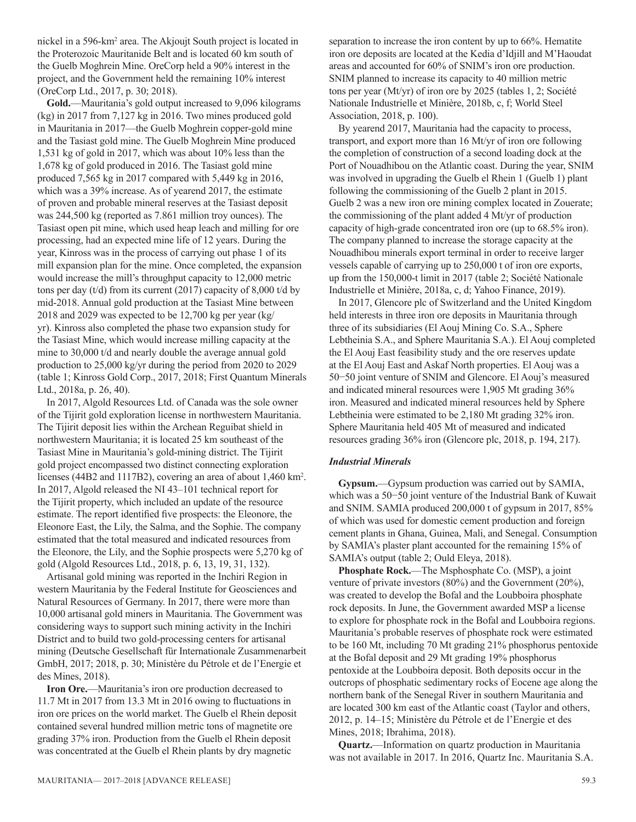nickel in a 596-km2 area. The Akjoujt South project is located in the Proterozoic Mauritanide Belt and is located 60 km south of the Guelb Moghrein Mine. OreCorp held a 90% interest in the project, and the Government held the remaining 10% interest (OreCorp Ltd., 2017, p. 30; 2018).

**Gold.**—Mauritania's gold output increased to 9,096 kilograms (kg) in 2017 from 7,127 kg in 2016. Two mines produced gold in Mauritania in 2017—the Guelb Moghrein copper-gold mine and the Tasiast gold mine. The Guelb Moghrein Mine produced 1,531 kg of gold in 2017, which was about 10% less than the 1,678 kg of gold produced in 2016. The Tasiast gold mine produced 7,565 kg in 2017 compared with 5,449 kg in 2016, which was a 39% increase. As of yearend 2017, the estimate of proven and probable mineral reserves at the Tasiast deposit was 244,500 kg (reported as 7.861 million troy ounces). The Tasiast open pit mine, which used heap leach and milling for ore processing, had an expected mine life of 12 years. During the year, Kinross was in the process of carrying out phase 1 of its mill expansion plan for the mine. Once completed, the expansion would increase the mill's throughput capacity to 12,000 metric tons per day (t/d) from its current (2017) capacity of 8,000 t/d by mid-2018. Annual gold production at the Tasiast Mine between 2018 and 2029 was expected to be 12,700 kg per year (kg/ yr). Kinross also completed the phase two expansion study for the Tasiast Mine, which would increase milling capacity at the mine to 30,000 t/d and nearly double the average annual gold production to 25,000 kg/yr during the period from 2020 to 2029 (table 1; Kinross Gold Corp., 2017, 2018; First Quantum Minerals Ltd., 2018a, p. 26, 40).

In 2017, Algold Resources Ltd. of Canada was the sole owner of the Tijirit gold exploration license in northwestern Mauritania. The Tijirit deposit lies within the Archean Reguibat shield in northwestern Mauritania; it is located 25 km southeast of the Tasiast Mine in Mauritania's gold-mining district. The Tijirit gold project encompassed two distinct connecting exploration licenses (44B2 and 1117B2), covering an area of about 1,460 km2 . In 2017, Algold released the NI 43–101 technical report for the Tijirit property, which included an update of the resource estimate. The report identified five prospects: the Eleonore, the Eleonore East, the Lily, the Salma, and the Sophie. The company estimated that the total measured and indicated resources from the Eleonore, the Lily, and the Sophie prospects were 5,270 kg of gold (Algold Resources Ltd., 2018, p. 6, 13, 19, 31, 132).

Artisanal gold mining was reported in the Inchiri Region in western Mauritania by the Federal Institute for Geosciences and Natural Resources of Germany. In 2017, there were more than 10,000 artisanal gold miners in Mauritania. The Government was considering ways to support such mining activity in the Inchiri District and to build two gold-processing centers for artisanal mining (Deutsche Gesellschaft für Internationale Zusammenarbeit GmbH, 2017; 2018, p. 30; Ministère du Pétrole et de l'Energie et des Mines, 2018).

**Iron Ore.**—Mauritania's iron ore production decreased to 11.7 Mt in 2017 from 13.3 Mt in 2016 owing to fluctuations in iron ore prices on the world market. The Guelb el Rhein deposit contained several hundred million metric tons of magnetite ore grading 37% iron. Production from the Guelb el Rhein deposit was concentrated at the Guelb el Rhein plants by dry magnetic

mauritania— 2017–2018 [ADVANCE RELEASE] 59.3

separation to increase the iron content by up to 66%. Hematite iron ore deposits are located at the Kedia d'Idjill and M'Haoudat areas and accounted for 60% of SNIM's iron ore production. SNIM planned to increase its capacity to 40 million metric tons per year (Mt/yr) of iron ore by 2025 (tables 1, 2; Société Nationale Industrielle et Minière, 2018b, c, f; World Steel Association, 2018, p. 100).

By yearend 2017, Mauritania had the capacity to process, transport, and export more than 16 Mt/yr of iron ore following the completion of construction of a second loading dock at the Port of Nouadhibou on the Atlantic coast. During the year, SNIM was involved in upgrading the Guelb el Rhein 1 (Guelb 1) plant following the commissioning of the Guelb 2 plant in 2015. Guelb 2 was a new iron ore mining complex located in Zouerate; the commissioning of the plant added 4 Mt/yr of production capacity of high-grade concentrated iron ore (up to 68.5% iron). The company planned to increase the storage capacity at the Nouadhibou minerals export terminal in order to receive larger vessels capable of carrying up to 250,000 t of iron ore exports, up from the 150,000-t limit in 2017 (table 2; Société Nationale Industrielle et Minière, 2018a, c, d; Yahoo Finance, 2019).

In 2017, Glencore plc of Switzerland and the United Kingdom held interests in three iron ore deposits in Mauritania through three of its subsidiaries (El Aouj Mining Co. S.A., Sphere Lebtheinia S.A., and Sphere Mauritania S.A.). El Aouj completed the El Aouj East feasibility study and the ore reserves update at the El Aouj East and Askaf North properties. El Aouj was a 50−50 joint venture of SNIM and Glencore. El Aouj's measured and indicated mineral resources were 1,905 Mt grading 36% iron. Measured and indicated mineral resources held by Sphere Lebtheinia were estimated to be 2,180 Mt grading 32% iron. Sphere Mauritania held 405 Mt of measured and indicated resources grading 36% iron (Glencore plc, 2018, p. 194, 217).

#### *Industrial Minerals*

**Gypsum.**—Gypsum production was carried out by SAMIA, which was a 50−50 joint venture of the Industrial Bank of Kuwait and SNIM. SAMIA produced 200,000 t of gypsum in 2017, 85% of which was used for domestic cement production and foreign cement plants in Ghana, Guinea, Mali, and Senegal. Consumption by SAMIA's plaster plant accounted for the remaining 15% of SAMIA's output (table 2; Ould Eleya, 2018).

**Phosphate Rock.**—The Msphosphate Co. (MSP), a joint venture of private investors (80%) and the Government (20%), was created to develop the Bofal and the Loubboira phosphate rock deposits. In June, the Government awarded MSP a license to explore for phosphate rock in the Bofal and Loubboira regions. Mauritania's probable reserves of phosphate rock were estimated to be 160 Mt, including 70 Mt grading 21% phosphorus pentoxide at the Bofal deposit and 29 Mt grading 19% phosphorus pentoxide at the Loubboira deposit. Both deposits occur in the outcrops of phosphatic sedimentary rocks of Eocene age along the northern bank of the Senegal River in southern Mauritania and are located 300 km east of the Atlantic coast (Taylor and others, 2012, p. 14–15; Ministère du Pétrole et de l'Energie et des Mines, 2018; Ibrahima, 2018).

**Quartz.**—Information on quartz production in Mauritania was not available in 2017. In 2016, Quartz Inc. Mauritania S.A.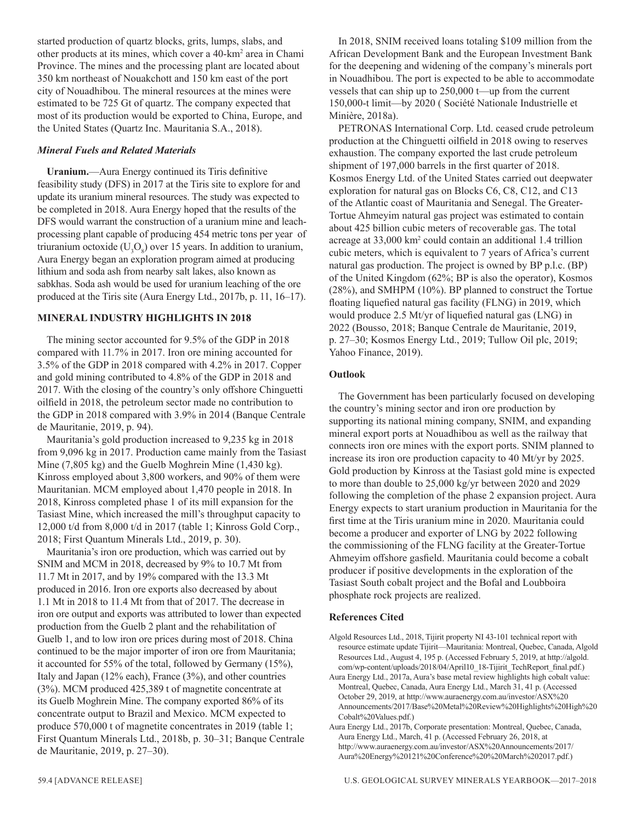started production of quartz blocks, grits, lumps, slabs, and other products at its mines, which cover a 40-km2 area in Chami Province. The mines and the processing plant are located about 350 km northeast of Nouakchott and 150 km east of the port city of Nouadhibou. The mineral resources at the mines were estimated to be 725 Gt of quartz. The company expected that most of its production would be exported to China, Europe, and the United States (Quartz Inc. Mauritania S.A., 2018).

#### *Mineral Fuels and Related Materials*

**Uranium.**—Aura Energy continued its Tiris definitive feasibility study (DFS) in 2017 at the Tiris site to explore for and update its uranium mineral resources. The study was expected to be completed in 2018. Aura Energy hoped that the results of the DFS would warrant the construction of a uranium mine and leachprocessing plant capable of producing 454 metric tons per year of triuranium octoxide ( $U_3O_8$ ) over 15 years. In addition to uranium, Aura Energy began an exploration program aimed at producing lithium and soda ash from nearby salt lakes, also known as sabkhas. Soda ash would be used for uranium leaching of the ore produced at the Tiris site (Aura Energy Ltd., 2017b, p. 11, 16–17).

#### **MINERAL INDUSTRY HIGHLIGHTS IN 2018**

The mining sector accounted for 9.5% of the GDP in 2018 compared with 11.7% in 2017. Iron ore mining accounted for 3.5% of the GDP in 2018 compared with 4.2% in 2017. Copper and gold mining contributed to 4.8% of the GDP in 2018 and 2017. With the closing of the country's only offshore Chinguetti oilfield in 2018, the petroleum sector made no contribution to the GDP in 2018 compared with 3.9% in 2014 (Banque Centrale de Mauritanie, 2019, p. 94).

Mauritania's gold production increased to 9,235 kg in 2018 from 9,096 kg in 2017. Production came mainly from the Tasiast Mine (7,805 kg) and the Guelb Moghrein Mine (1,430 kg). Kinross employed about 3,800 workers, and 90% of them were Mauritanian. MCM employed about 1,470 people in 2018. In 2018, Kinross completed phase 1 of its mill expansion for the Tasiast Mine, which increased the mill's throughput capacity to 12,000 t/d from 8,000 t/d in 2017 (table 1; Kinross Gold Corp., 2018; First Quantum Minerals Ltd., 2019, p. 30).

Mauritania's iron ore production, which was carried out by SNIM and MCM in 2018, decreased by 9% to 10.7 Mt from 11.7 Mt in 2017, and by 19% compared with the 13.3 Mt produced in 2016. Iron ore exports also decreased by about 1.1 Mt in 2018 to 11.4 Mt from that of 2017. The decrease in iron ore output and exports was attributed to lower than expected production from the Guelb 2 plant and the rehabilitation of Guelb 1, and to low iron ore prices during most of 2018. China continued to be the major importer of iron ore from Mauritania; it accounted for 55% of the total, followed by Germany (15%), Italy and Japan (12% each), France (3%), and other countries (3%). MCM produced 425,389 t of magnetite concentrate at its Guelb Moghrein Mine. The company exported 86% of its concentrate output to Brazil and Mexico. MCM expected to produce 570,000 t of magnetite concentrates in 2019 (table 1; First Quantum Minerals Ltd., 2018b, p. 30–31; Banque Centrale de Mauritanie, 2019, p. 27–30).

In 2018, SNIM received loans totaling \$109 million from the African Development Bank and the European Investment Bank for the deepening and widening of the company's minerals port in Nouadhibou. The port is expected to be able to accommodate vessels that can ship up to 250,000 t—up from the current 150,000-t limit—by 2020 ( Société Nationale Industrielle et Minière, 2018a).

PETRONAS International Corp. Ltd. ceased crude petroleum production at the Chinguetti oilfield in 2018 owing to reserves exhaustion. The company exported the last crude petroleum shipment of 197,000 barrels in the first quarter of 2018. Kosmos Energy Ltd. of the United States carried out deepwater exploration for natural gas on Blocks C6, C8, C12, and C13 of the Atlantic coast of Mauritania and Senegal. The Greater-Tortue Ahmeyim natural gas project was estimated to contain about 425 billion cubic meters of recoverable gas. The total acreage at 33,000 km2 could contain an additional 1.4 trillion cubic meters, which is equivalent to 7 years of Africa's current natural gas production. The project is owned by BP p.l.c. (BP) of the United Kingdom (62%; BP is also the operator), Kosmos (28%), and SMHPM (10%). BP planned to construct the Tortue floating liquefied natural gas facility (FLNG) in 2019, which would produce 2.5 Mt/yr of liquefied natural gas (LNG) in 2022 (Bousso, 2018; Banque Centrale de Mauritanie, 2019, p. 27–30; Kosmos Energy Ltd., 2019; Tullow Oil plc, 2019; Yahoo Finance, 2019).

#### **Outlook**

The Government has been particularly focused on developing the country's mining sector and iron ore production by supporting its national mining company, SNIM, and expanding mineral export ports at Nouadhibou as well as the railway that connects iron ore mines with the export ports. SNIM planned to increase its iron ore production capacity to 40 Mt/yr by 2025. Gold production by Kinross at the Tasiast gold mine is expected to more than double to 25,000 kg/yr between 2020 and 2029 following the completion of the phase 2 expansion project. Aura Energy expects to start uranium production in Mauritania for the first time at the Tiris uranium mine in 2020. Mauritania could become a producer and exporter of LNG by 2022 following the commissioning of the FLNG facility at the Greater-Tortue Ahmeyim offshore gasfield. Mauritania could become a cobalt producer if positive developments in the exploration of the Tasiast South cobalt project and the Bofal and Loubboira phosphate rock projects are realized.

#### **References Cited**

Algold Resources Ltd., 2018, Tijirit property NI 43-101 technical report with resource estimate update Tijirit—Mauritania: Montreal, Quebec, Canada, Algold Resources Ltd., August 4, 195 p. (Accessed February 5, 2019, at http://algold. com/wp-content/uploads/2018/04/April10\_18-Tijirit\_TechReport\_final.pdf.)

Aura Energy Ltd., 2017a, Aura's base metal review highlights high cobalt value: Montreal, Quebec, Canada, Aura Energy Ltd., March 31, 41 p. (Accessed October 29, 2019, at http://www.auraenergy.com.au/investor/ASX%20 Announcements/2017/Base%20Metal%20Review%20Highlights%20High%20 Cobalt%20Values.pdf.)

Aura Energy Ltd., 2017b, Corporate presentation: Montreal, Quebec, Canada, Aura Energy Ltd., March, 41 p. (Accessed February 26, 2018, at http://www.auraenergy.com.au/investor/ASX%20Announcements/2017/ Aura%20Energy%20121%20Conference%20%20March%202017.pdf.)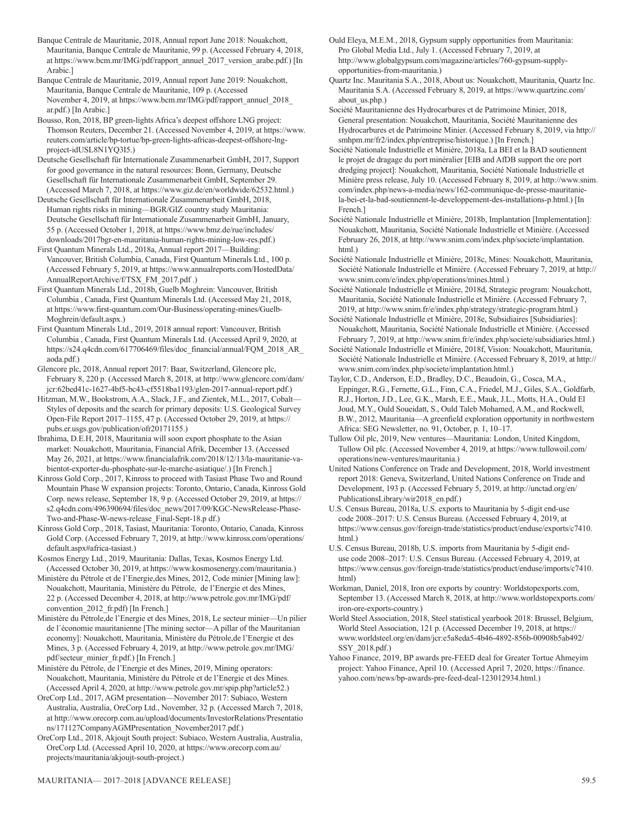- Banque Centrale de Mauritanie, 2018, Annual report June 2018: Nouakchott, Mauritania, Banque Centrale de Mauritanie, 99 p. (Accessed February 4, 2018, at https://www.bcm.mr/IMG/pdf/rapport\_annuel\_2017\_version\_arabe.pdf.) [In Arabic.]
- Banque Centrale de Mauritanie, 2019, Annual report June 2019: Nouakchott, Mauritania, Banque Centrale de Mauritanie, 109 p. (Accessed November 4, 2019, at https://www.bcm.mr/IMG/pdf/rapport\_annuel\_2018\_ ar.pdf.) [In Arabic.]
- Bousso, Ron, 2018, BP green-lights Africa's deepest offshore LNG project: Thomson Reuters, December 21. (Accessed November 4, 2019, at https://www. reuters.com/article/bp-tortue/bp-green-lights-africas-deepest-offshore-lngproject-idUSL8N1YQ3I5.)
- Deutsche Gesellschaft für Internationale Zusammenarbeit GmbH, 2017, Support for good governance in the natural resources: Bonn, Germany, Deutsche Gesellschaft für Internationale Zusammenarbeit GmbH, September 29. (Accessed March 7, 2018, at https://www.giz.de/en/worldwide/62532.html.)
- Deutsche Gesellschaft für Internationale Zusammenarbeit GmbH, 2018, Human rights risks in mining—BGR/GIZ country study Mauritania: Deutsche Gesellschaft für Internationale Zusammenarbeit GmbH, January, 55 p. (Accessed October 1, 2018, at https://www.bmz.de/rue/includes/ downloads/2017bgr-en-mauritania-human-rights-mining-low-res.pdf.)
- First Quantum Minerals Ltd., 2018a, Annual report 2017—Building: Vancouver, British Columbia, Canada, First Quantum Minerals Ltd., 100 p. (Accessed February 5, 2019, at https://www.annualreports.com/HostedData/ AnnualReportArchive/f/TSX\_FM\_2017.pdf .)
- First Quantum Minerals Ltd., 2018b, Guelb Moghrein: Vancouver, British Columbia , Canada, First Quantum Minerals Ltd. (Accessed May 21, 2018, at https://www.first-quantum.com/Our-Business/operating-mines/Guelb-Moghrein/default.aspx.)
- First Quantum Minerals Ltd., 2019, 2018 annual report: Vancouver, British Columbia , Canada, First Quantum Minerals Ltd. (Accessed April 9, 2020, at https://s24.q4cdn.com/617706469/files/doc\_financial/annual/FQM\_2018\_AR\_ aoda.pdf.)
- Glencore plc, 2018, Annual report 2017: Baar, Switzerland, Glencore plc, February 8, 220 p. (Accessed March 8, 2018, at http://www.glencore.com/dam/ jcr:62bed41c-1627-4bf5-bc43-cf5518ba1193/glen-2017-annual-report.pdf.)
- Hitzman, M.W., Bookstrom, A.A., Slack, J.F., and Zientek, M.L., 2017, Cobalt— Styles of deposits and the search for primary deposits: U.S. Geological Survey Open-File Report 2017–1155, 47 p. (Accessed October 29, 2019, at https:// pubs.er.usgs.gov/publication/ofr20171155.)
- Ibrahima, D.E.H, 2018, Mauritania will soon export phosphate to the Asian market: Nouakchott, Mauritania, Financial Afrik, December 13. (Accessed May 26, 2021, at https://www.financialafrik.com/2018/12/13/la-mauritanie-vabientot-exporter-du-phosphate-sur-le-marche-asiatique/.) [In French.]
- Kinross Gold Corp., 2017, Kinross to proceed with Tasiast Phase Two and Round Mountain Phase W expansion projects: Toronto, Ontario, Canada, Kinross Gold Corp. news release, September 18, 9 p. (Accessed October 29, 2019, at https:// s2.q4cdn.com/496390694/files/doc\_news/2017/09/KGC-NewsRelease-Phase-Two-and-Phase-W-news-release\_Final-Sept-18.p df.)
- Kinross Gold Corp., 2018, Tasiast, Mauritania: Toronto, Ontario, Canada, Kinross Gold Corp. (Accessed February 7, 2019, at http://www.kinross.com/operations/ default.aspx#africa-tasiast.)
- Kosmos Energy Ltd., 2019, Mauritania: Dallas, Texas, Kosmos Energy Ltd. (Accessed October 30, 2019, at https://www.kosmosenergy.com/mauritania.)
- Ministère du Pétrole et de l'Energie,des Mines, 2012, Code minier [Mining law]: Nouakchott, Mauritania, Ministère du Pétrole, de l'Energie et des Mines, 22 p. (Accessed December 4, 2018, at http://www.petrole.gov.mr/IMG/pdf/ convention 2012 fr.pdf) [In French.]
- Ministère du Pétrole,de l'Energie et des Mines, 2018, Le secteur minier—Un pilier de l´économie mauritanienne [The mining sector—A pillar of the Mauritanian economy]: Nouakchott, Mauritania, Ministère du Pétrole,de l'Energie et des Mines, 3 p. (Accessed February 4, 2019, at http://www.petrole.gov.mr/IMG/ pdf/secteur\_minier\_fr.pdf.) [In French.]
- Ministère du Pétrole, de l'Energie et des Mines, 2019, Mining operators: Nouakchott, Mauritania, Ministère du Pétrole et de l'Energie et des Mines. (Accessed April 4, 2020, at http://www.petrole.gov.mr/spip.php?article52.)
- OreCorp Ltd., 2017, AGM presentation—November 2017: Subiaco, Western Australia, Australia, OreCorp Ltd., November, 32 p. (Accessed March 7, 2018, at http://www.orecorp.com.au/upload/documents/InvestorRelations/Presentatio ns/171127CompanyAGMPresentation\_November2017.pdf.)
- OreCorp Ltd., 2018, Akjoujt South project: Subiaco, Western Australia, Australia, OreCorp Ltd. (Accessed April 10, 2020, at https://www.orecorp.com.au/ projects/mauritania/akjoujt-south-project.)
- Ould Eleya, M.E.M., 2018, Gypsum supply opportunities from Mauritania: Pro Global Media Ltd., July 1. (Accessed February 7, 2019, at http://www.globalgypsum.com/magazine/articles/760-gypsum-supplyopportunities-from-mauritania.)
- Quartz Inc. Mauritania S.A., 2018, About us: Nouakchott, Mauritania, Quartz Inc. Mauritania S.A. (Accessed February 8, 2019, at https://www.quartzinc.com/ about us.php.)
- Société Mauritanienne des Hydrocarbures et de Patrimoine Minier, 2018, General presentation: Nouakchott, Mauritania, Société Mauritanienne des Hydrocarbures et de Patrimoine Minier. (Accessed February 8, 2019, via http:// smhpm.mr/fr2/index.php/entreprise/historique.) [In French.]
- Société Nationale Industrielle et Minière, 2018a, La BEI et la BAD soutiennent le projet de dragage du port minéralier [EIB and AfDB support the ore port dredging project]: Nouakchott, Mauritania, Société Nationale Industrielle et Minière press release, July 10. (Accessed February 8, 2019, at http://www.snim. com/index.php/news-a-media/news/162-communique-de-presse-mauritaniela-bei-et-la-bad-soutiennent-le-developpement-des-installations-p.html.) [In French.]
- Société Nationale Industrielle et Minière, 2018b, Implantation [Implementation]: Nouakchott, Mauritania, Société Nationale Industrielle et Minière. (Accessed February 26, 2018, at http://www.snim.com/index.php/societe/implantation. html.)
- Société Nationale Industrielle et Minière, 2018c, Mines: Nouakchott, Mauritania, Société Nationale Industrielle et Minière. (Accessed February 7, 2019, at http:// www.snim.com/e/index.php/operations/mines.html.)
- Société Nationale Industrielle et Minière, 2018d, Strategic program: Nouakchott, Mauritania, Société Nationale Industrielle et Minière. (Accessed February 7, 2019, at http://www.snim.fr/e/index.php/strategy/strategic-program.html.)
- Société Nationale Industrielle et Minière, 2018e, Subsidiaires [Subsidiaries]: Nouakchott, Mauritania, Société Nationale Industrielle et Minière. (Accessed February 7, 2019, at http://www.snim.fr/e/index.php/societe/subsidiaries.html.)
- Société Nationale Industrielle et Minière, 2018f, Vision: Nouakchott, Mauritania, Société Nationale Industrielle et Minière. (Accessed February 8, 2019, at http:// www.snim.com/index.php/societe/implantation.html.)
- Taylor, C.D., Anderson, E.D., Bradley, D.C., Beaudoin, G., Cosca, M.A., Eppinger, R.G., Fernette, G.L., Finn, C.A., Friedel, M.J., Giles, S.A., Goldfarb, R.J., Horton, J.D., Lee, G.K., Marsh, E.E., Mauk, J.L., Motts, H.A., Ould El Joud, M.Y., Ould Soueidatt, S., Ould Taleb Mohamed, A.M., and Rockwell, B.W., 2012, Mauritania—A greenfield exploration opportunity in northwestern Africa: SEG Newsletter, no. 91, October, p. 1, 10-17.
- Tullow Oil plc, 2019, New ventures—Mauritania: London, United Kingdom, Tullow Oil plc. (Accessed November 4, 2019, at https://www.tullowoil.com/ operations/new-ventures/mauritania.)
- United Nations Conference on Trade and Development, 2018, World investment report 2018: Geneva, Switzerland, United Nations Conference on Trade and Development, 193 p. (Accessed February 5, 2019, at http://unctad.org/en/ PublicationsLibrary/wir2018\_en.pdf.)
- U.S. Census Bureau, 2018a, U.S. exports to Mauritania by 5-digit end-use code 2008–2017: U.S. Census Bureau. (Accessed February 4, 2019, at https://www.census.gov/foreign-trade/statistics/product/enduse/exports/c7410. html.)
- U.S. Census Bureau, 2018b, U.S. imports from Mauritania by 5-digit enduse code 2008–2017: U.S. Census Bureau. (Accessed February 4, 2019, at https://www.census.gov/foreign-trade/statistics/product/enduse/imports/c7410. html)
- Workman, Daniel, 2018, Iron ore exports by country: Worldstopexports.com, September 13. (Accessed March 8, 2018, at http://www.worldstopexports.com/ iron-ore-exports-country.)
- World Steel Association, 2018, Steel statistical yearbook 2018: Brussel, Belgium, World Steel Association, 121 p. (Accessed December 19, 2018, at https:// www.worldsteel.org/en/dam/jcr:e5a8eda5-4b46-4892-856b-00908b5ab492/ SSY\_2018.pdf.)
- Yahoo Finance, 2019, BP awards pre-FEED deal for Greater Tortue Ahmeyim project: Yahoo Finance, April 10. (Accessed April 7, 2020, https://finance. yahoo.com/news/bp-awards-pre-feed-deal-123012934.html.)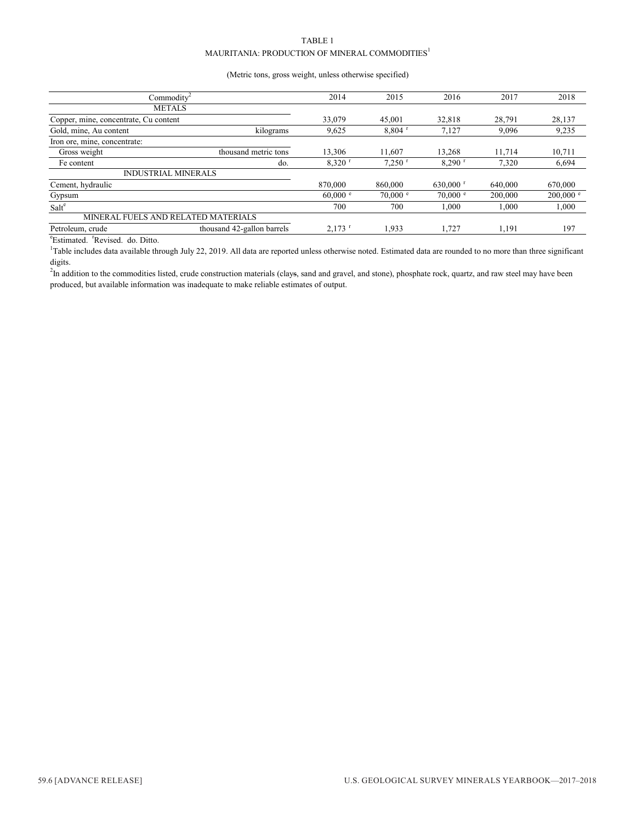#### TABLE 1 MAURITANIA: PRODUCTION OF MINERAL COMMODITIES $^{\rm l}$

#### (Metric tons, gross weight, unless otherwise specified)

| Commodity <sup>2</sup>                |                            | 2014               | 2015               | 2016<br>2017           |         | 2018                |
|---------------------------------------|----------------------------|--------------------|--------------------|------------------------|---------|---------------------|
| <b>METALS</b>                         |                            |                    |                    |                        |         |                     |
| Copper, mine, concentrate, Cu content |                            | 33,079             | 45,001             | 32.818                 | 28.791  | 28,137              |
| Gold, mine, Au content                | kilograms                  | 9,625              | 8.804              | 7.127                  | 9,096   | 9,235               |
| Iron ore, mine, concentrate:          |                            |                    |                    |                        |         |                     |
| Gross weight                          | thousand metric tons       | 13,306             | 11.607             | 13.268                 | 11.714  | 10,711              |
| Fe content                            | do.                        | 8,320              | 7,250              | $8.290$ <sup>r</sup>   | 7,320   | 6,694               |
| <b>INDUSTRIAL MINERALS</b>            |                            |                    |                    |                        |         |                     |
| Cement, hydraulic                     |                            | 870,000            | 860,000            | $630,000$ <sup>r</sup> | 640,000 | 670,000             |
| Gypsum                                |                            | $60,000$ $\degree$ | $70,000$ $\degree$ | $70,000$ $\degree$     | 200,000 | $200,000$ $\degree$ |
| Salt <sup>e</sup>                     |                            | 700                | 700                | 1,000                  | 1,000   | 1,000               |
| MINERAL FUELS AND RELATED MATERIALS   |                            |                    |                    |                        |         |                     |
| Petroleum, crude                      | thousand 42-gallon barrels | 2.173              | 1.933              | 1.727                  | 1.191   | 197                 |

<sup>e</sup>Estimated. <sup>r</sup>Revised. do. Ditto.

<sup>1</sup>Table includes data available through July 22, 2019. All data are reported unless otherwise noted. Estimated data are rounded to no more than three significant digits.

<sup>2</sup>In addition to the commodities listed, crude construction materials (clays, sand and gravel, and stone), phosphate rock, quartz, and raw steel may have been produced, but available information was inadequate to make reliable estimates of output.